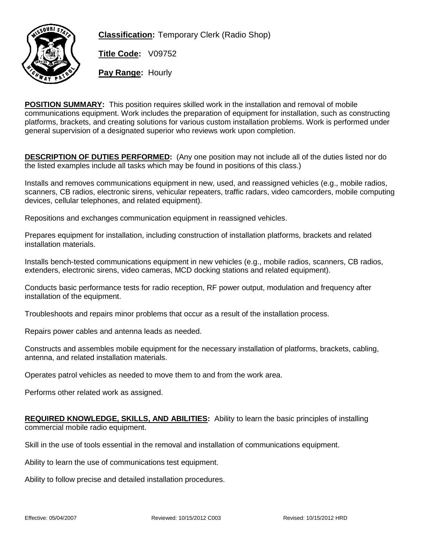

**Classification:** Temporary Clerk (Radio Shop)

**Title Code:** V09752

**Pay Range:** Hourly

**POSITION SUMMARY:** This position requires skilled work in the installation and removal of mobile communications equipment. Work includes the preparation of equipment for installation, such as constructing platforms, brackets, and creating solutions for various custom installation problems. Work is performed under general supervision of a designated superior who reviews work upon completion.

**DESCRIPTION OF DUTIES PERFORMED:** (Any one position may not include all of the duties listed nor do the listed examples include all tasks which may be found in positions of this class.)

Installs and removes communications equipment in new, used, and reassigned vehicles (e.g., mobile radios, scanners, CB radios, electronic sirens, vehicular repeaters, traffic radars, video camcorders, mobile computing devices, cellular telephones, and related equipment).

Repositions and exchanges communication equipment in reassigned vehicles.

Prepares equipment for installation, including construction of installation platforms, brackets and related installation materials.

Installs bench-tested communications equipment in new vehicles (e.g., mobile radios, scanners, CB radios, extenders, electronic sirens, video cameras, MCD docking stations and related equipment).

Conducts basic performance tests for radio reception, RF power output, modulation and frequency after installation of the equipment.

Troubleshoots and repairs minor problems that occur as a result of the installation process.

Repairs power cables and antenna leads as needed.

Constructs and assembles mobile equipment for the necessary installation of platforms, brackets, cabling, antenna, and related installation materials.

Operates patrol vehicles as needed to move them to and from the work area.

Performs other related work as assigned.

**REQUIRED KNOWLEDGE, SKILLS, AND ABILITIES:** Ability to learn the basic principles of installing commercial mobile radio equipment.

Skill in the use of tools essential in the removal and installation of communications equipment.

Ability to learn the use of communications test equipment.

Ability to follow precise and detailed installation procedures.